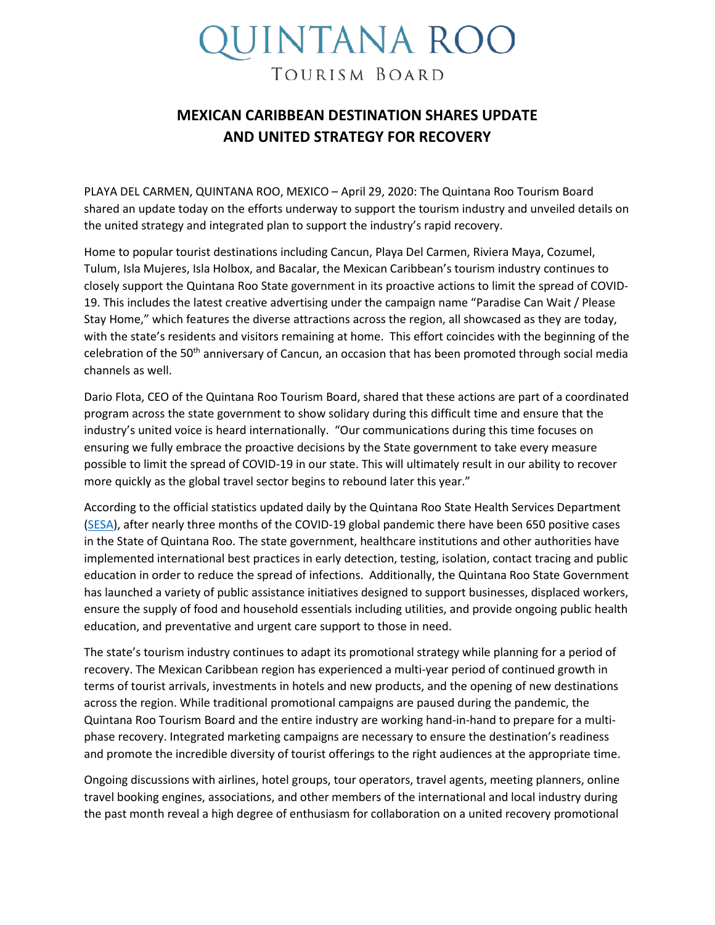## UINTANA ROO TOURISM BOARD

## **MEXICAN CARIBBEAN DESTINATION SHARES UPDATE AND UNITED STRATEGY FOR RECOVERY**

PLAYA DEL CARMEN, QUINTANA ROO, MEXICO – April 29, 2020: The Quintana Roo Tourism Board shared an update today on the efforts underway to support the tourism industry and unveiled details on the united strategy and integrated plan to support the industry's rapid recovery.

Home to popular tourist destinations including Cancun, Playa Del Carmen, Riviera Maya, Cozumel, Tulum, Isla Mujeres, Isla Holbox, and Bacalar, the Mexican Caribbean's tourism industry continues to closely support the Quintana Roo State government in its proactive actions to limit the spread of COVID-19. This includes the latest creative advertising under the campaign name "Paradise Can Wait / Please Stay Home," which features the diverse attractions across the region, all showcased as they are today, with the state's residents and visitors remaining at home. This effort coincides with the beginning of the celebration of the 50<sup>th</sup> anniversary of Cancun, an occasion that has been promoted through social media channels as well.

Dario Flota, CEO of the Quintana Roo Tourism Board, shared that these actions are part of a coordinated program across the state government to show solidary during this difficult time and ensure that the industry's united voice is heard internationally. "Our communications during this time focuses on ensuring we fully embrace the proactive decisions by the State government to take every measure possible to limit the spread of COVID-19 in our state. This will ultimately result in our ability to recover more quickly as the global travel sector begins to rebound later this year."

According to the official statistics updated daily by the Quintana Roo State Health Services Department [\(SESA\)](https://qroo.gob.mx/sesa/nuevo-coronavirus-covid-19), after nearly three months of the COVID-19 global pandemic there have been 650 positive cases in the State of Quintana Roo. The state government, healthcare institutions and other authorities have implemented international best practices in early detection, testing, isolation, contact tracing and public education in order to reduce the spread of infections. Additionally, the Quintana Roo State Government has launched a variety of public assistance initiatives designed to support businesses, displaced workers, ensure the supply of food and household essentials including utilities, and provide ongoing public health education, and preventative and urgent care support to those in need.

The state's tourism industry continues to adapt its promotional strategy while planning for a period of recovery. The Mexican Caribbean region has experienced a multi-year period of continued growth in terms of tourist arrivals, investments in hotels and new products, and the opening of new destinations across the region. While traditional promotional campaigns are paused during the pandemic, the Quintana Roo Tourism Board and the entire industry are working hand-in-hand to prepare for a multiphase recovery. Integrated marketing campaigns are necessary to ensure the destination's readiness and promote the incredible diversity of tourist offerings to the right audiences at the appropriate time.

Ongoing discussions with airlines, hotel groups, tour operators, travel agents, meeting planners, online travel booking engines, associations, and other members of the international and local industry during the past month reveal a high degree of enthusiasm for collaboration on a united recovery promotional